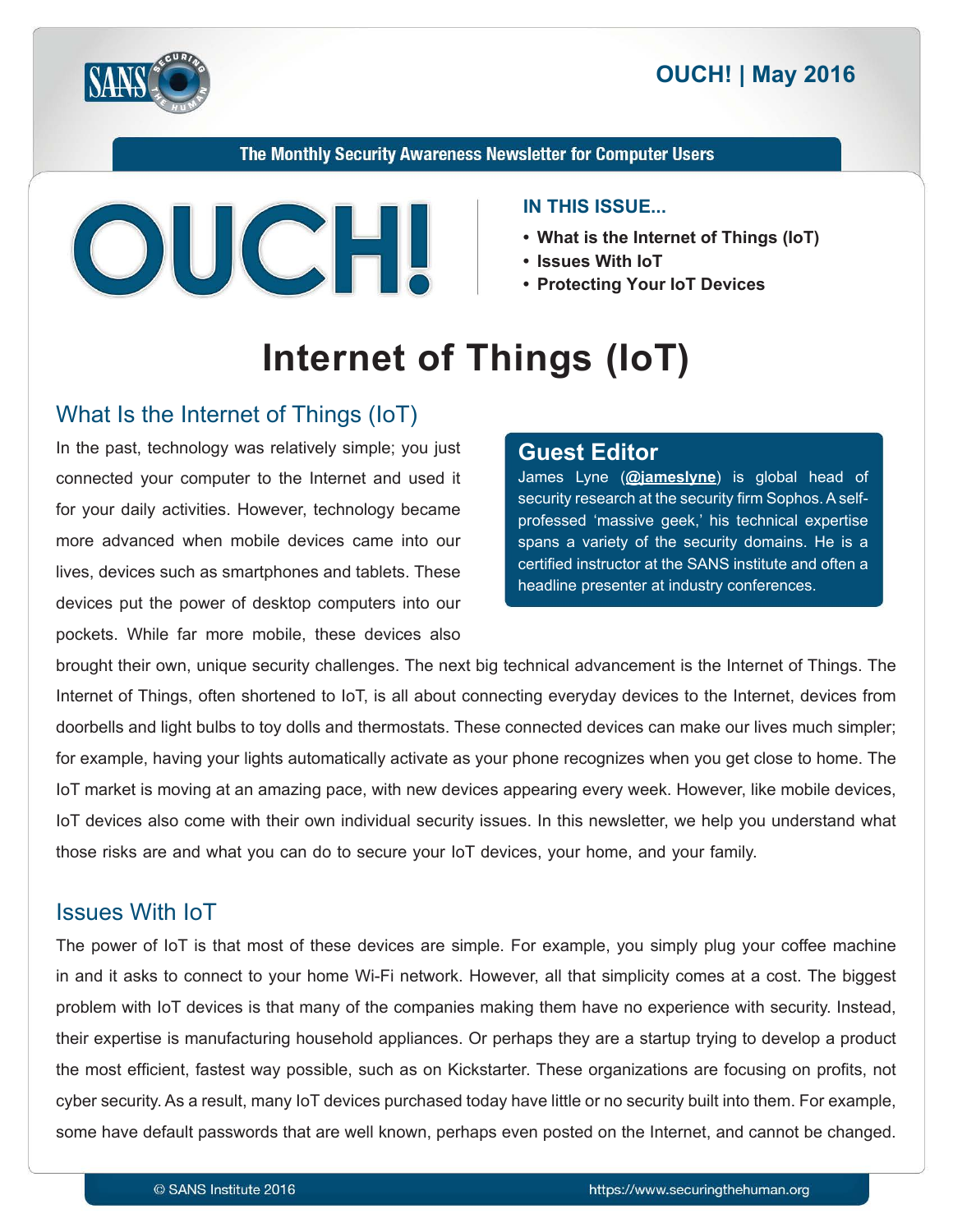

The Monthly Security Awareness Newsletter for Computer Users



#### **IN THIS ISSUE...**

- What is the Internet of Things (IoT)
- 
- **Protecting Your IoT Devices**

# **Internet of Things (IoT)**

## What Is the Internet of Things (IoT)

In the past, technology was relatively simple; you just connected your computer to the Internet and used it for your daily activities. However, technology became more advanced when mobile devices came into our lives, devices such as smartphones and tablets. These devices put the power of desktop computers into our pockets. While far more mobile, these devices also

#### **Editor Guest**

James Lyne (@**iameslyne**) is global head of professed 'massive geek,' his technical expertise security research at the security firm Sophos. A selfspans a variety of the security domains. He is a certified instructor at the SANS institute and often a headline presenter at industry conferences.

brought their own, unique security challenges. The next big technical advancement is the Internet of Things. The Internet of Things, often shortened to IoT, is all about connecting everyday devices to the Internet, devices from doorbells and light bulbs to toy dolls and thermostats. These connected devices can make our lives much simpler; for example, having your lights automatically activate as your phone recognizes when you get close to home. The loT market is moving at an amazing pace, with new devices appearing every week. However, like mobile devices, loT devices also come with their own individual security issues. In this newsletter, we help you understand what those risks are and what you can do to secure your loT devices, your home, and your family.

### **Issues With IoT**

The power of loT is that most of these devices are simple. For example, you simply plug your coffee machine in and it asks to connect to your home Wi-Fi network. However, all that simplicity comes at a cost. The biggest problem with IoT devices is that many of the companies making them have no experience with security. Instead, their expertise is manufacturing household appliances. Or perhaps they are a startup trying to develop a product the most efficient, fastest way possible, such as on Kickstarter. These organizations are focusing on profits, not cyber security. As a result, many IoT devices purchased today have little or no security built into them. For example, some have default passwords that are well known, perhaps even posted on the Internet, and cannot be changed.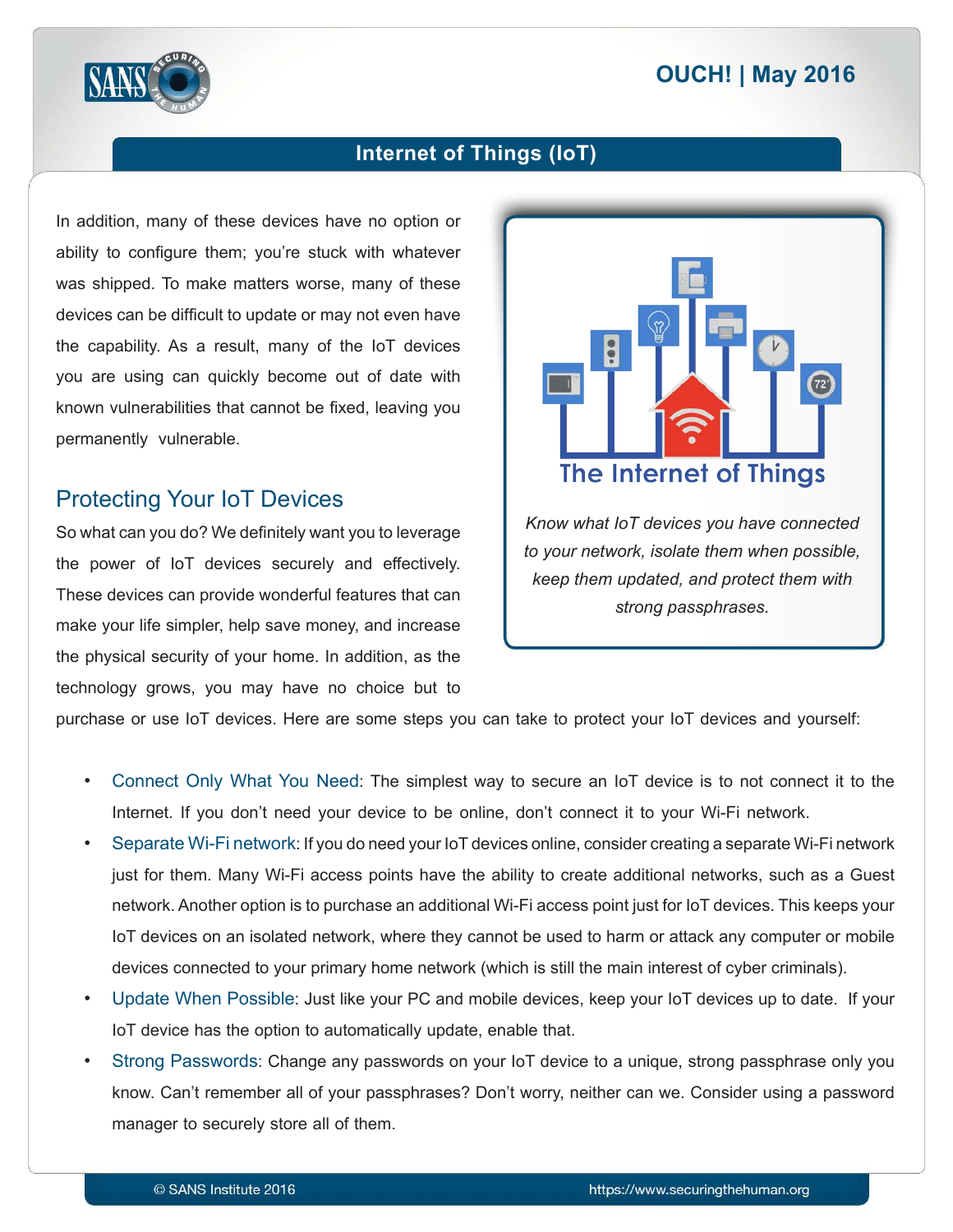## **2016 | OUCH! | May 2016**



#### **Internet of Things (IoT)**

In addition, many of these devices have no option or ability to configure them; you're stuck with whatever was shipped. To make matters worse, many of these devices can be difficult to update or may not even have the capability. As a result, many of the IoT devices you are using can quickly become out of date with known vulnerabilities that cannot be fixed, leaving you permanently vulnerable.

#### **Protecting Your IoT Devices**

So what can you do? We definitely want you to leverage the power of IoT devices securely and effectively. These devices can provide wonderful features that can make your life simpler, help save money, and increase the physical security of your home. In addition, as the technology grows, you may have no choice but to



**Know what IoT devices you have connected** *to your network, isolate them when possible, keep them updated, and protect them with* strong passphrases.

purchase or use IoT devices. Here are some steps you can take to protect your IoT devices and yourself:

- Connect Only What You Need: The simplest way to secure an IoT device is to not connect it to the Internet. If you don't need your device to be online, don't connect it to your Wi-Fi network.
- Separate Wi-Fi network: If you do need your loT devices online, consider creating a separate Wi-Fi network just for them. Many Wi-Fi access points have the ability to create additional networks, such as a Guest network. Another option is to purchase an additional Wi-Fi access point just for loT devices. This keeps your loT devices on an isolated network, where they cannot be used to harm or attack any computer or mobile devices connected to your primary home network (which is still the main interest of cyber criminals).
- Update When Possible: Just like your PC and mobile devices, keep your loT devices up to date. If your IoT device has the option to automatically update, enable that.
- Strong Passwords: Change any passwords on your IoT device to a unique, strong passphrase only you know. Can't remember all of your passphrases? Don't worry, neither can we. Consider using a password manager to securely store all of them.